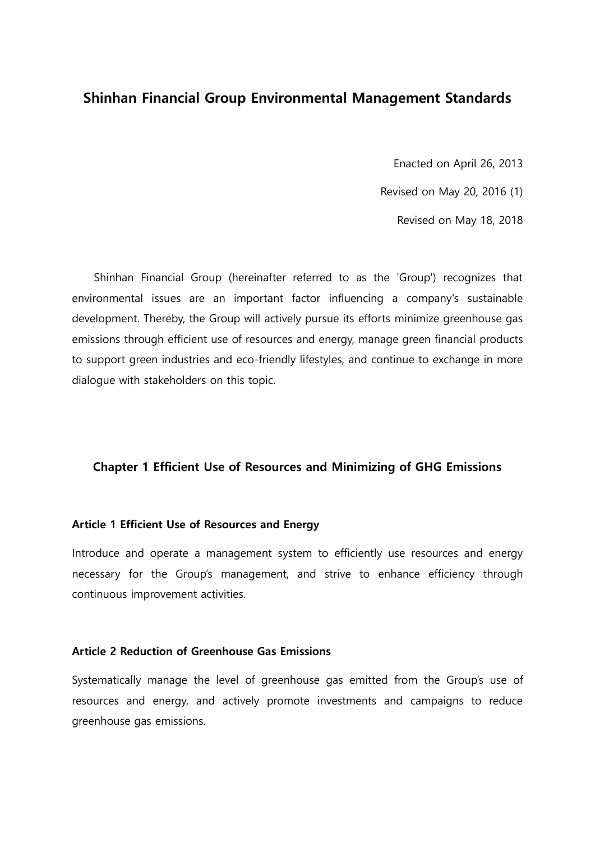## Shinhan Financial Group Environmental Management Standards

Enacted on April 26, 2013

Revised on May 20, 2016 (1)

Revised on May 18, 2018

Shinhan Financial Group (hereinafter referred to as the 'Group') recognizes that environmental issues are an important factor influencing a company's sustainable development. Thereby, the Group will actively pursue its efforts minimize greenhouse gas emissions through efficient use of resources and energy, manage green financial products to support green industries and eco-friendly lifestyles, and continue to exchange in more dialogue with stakeholders on this topic.

#### Chapter 1 Efficient Use of Resources and Minimizing of GHG Emissions

#### Article 1 Efficient Use of Resources and Energy

Introduce and operate a management system to efficiently use resources and energy necessary for the Group's management, and strive to enhance efficiency through continuous improvement activities.

#### Article 2 Reduction of Greenhouse Gas Emissions

Systematically manage the level of greenhouse gas emitted from the Group's use of resources and energy, and actively promote investments and campaigns to reduce greenhouse gas emissions.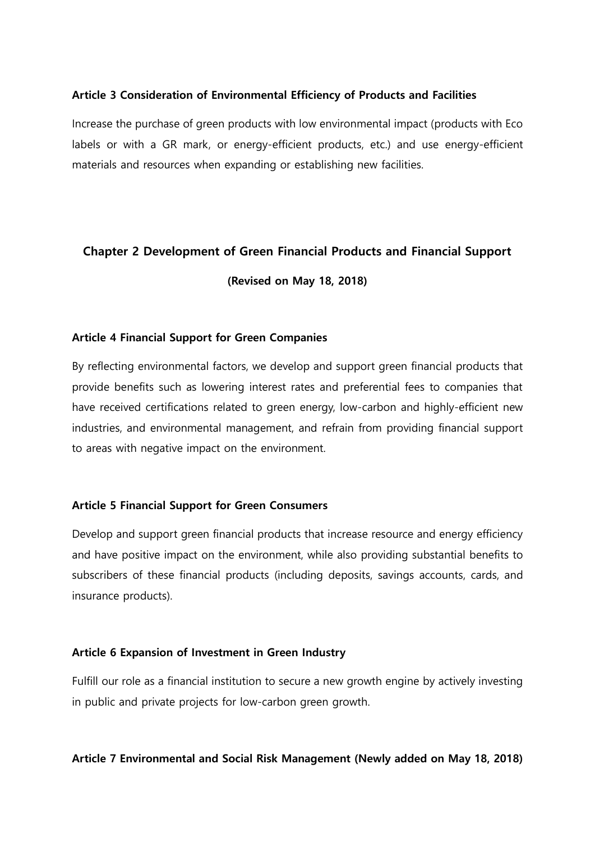## Article 3 Consideration of Environmental Efficiency of Products and Facilities

Increase the purchase of green products with low environmental impact (products with Eco labels or with a GR mark, or energy-efficient products, etc.) and use energy-efficient materials and resources when expanding or establishing new facilities.

# Chapter 2 Development of Green Financial Products and Financial Support (Revised on May 18, 2018)

## Article 4 Financial Support for Green Companies

By reflecting environmental factors, we develop and support green financial products that provide benefits such as lowering interest rates and preferential fees to companies that have received certifications related to green energy, low-carbon and highly-efficient new industries, and environmental management, and refrain from providing financial support to areas with negative impact on the environment.

#### Article 5 Financial Support for Green Consumers

Develop and support green financial products that increase resource and energy efficiency and have positive impact on the environment, while also providing substantial benefits to subscribers of these financial products (including deposits, savings accounts, cards, and insurance products).

#### Article 6 Expansion of Investment in Green Industry

Fulfill our role as a financial institution to secure a new growth engine by actively investing in public and private projects for low-carbon green growth.

#### Article 7 Environmental and Social Risk Management (Newly added on May 18, 2018)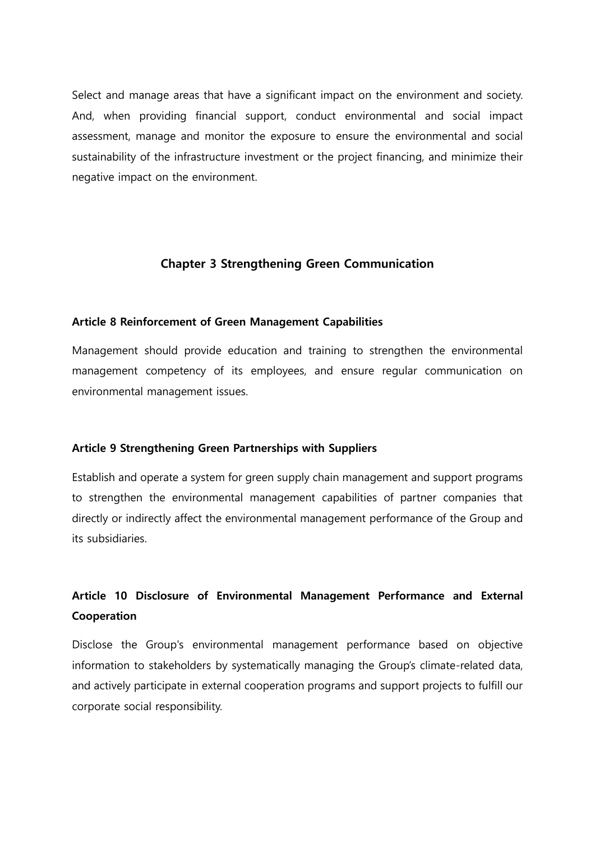Select and manage areas that have a significant impact on the environment and society. And, when providing financial support, conduct environmental and social impact assessment, manage and monitor the exposure to ensure the environmental and social sustainability of the infrastructure investment or the project financing, and minimize their negative impact on the environment.

## Chapter 3 Strengthening Green Communication

#### Article 8 Reinforcement of Green Management Capabilities

Management should provide education and training to strengthen the environmental management competency of its employees, and ensure regular communication on environmental management issues.

#### Article 9 Strengthening Green Partnerships with Suppliers

Establish and operate a system for green supply chain management and support programs to strengthen the environmental management capabilities of partner companies that directly or indirectly affect the environmental management performance of the Group and its subsidiaries.

# Article 10 Disclosure of Environmental Management Performance and External Cooperation

Disclose the Group's environmental management performance based on objective information to stakeholders by systematically managing the Group's climate-related data, and actively participate in external cooperation programs and support projects to fulfill our corporate social responsibility.